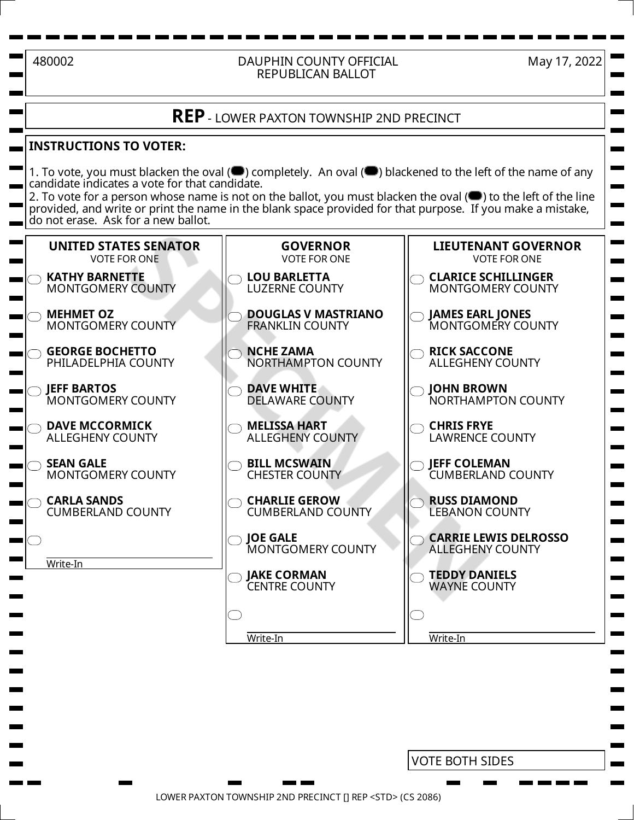## 480002 DAUPHIN COUNTY OFFICIAL REPUBLICAN BALLOT

May 17, 2022

## **REP**- LOWER PAXTON TOWNSHIP 2ND PRECINCT

## **INSTRUCTIONS TO VOTER:**

1. To vote, you must blacken the oval ( $\blacksquare$ ) completely. An oval ( $\blacksquare$ ) blackened to the left of the name of any candidate indicates a vote for that candidate.

2. To vote for a person whose name is not on the ballot, you must blacken the oval  $($ **)** to the left of the line provided, and write or print the name in the blank space provided for that purpose. If you make a mistake, do not erase. Ask for a new ballot.